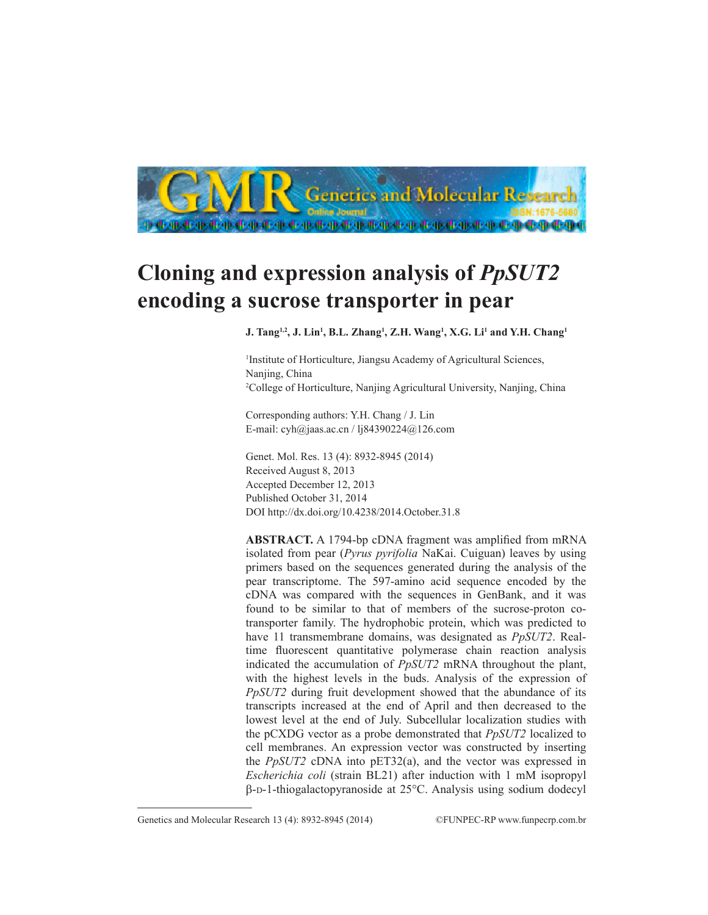

## **Cloning and expression analysis of** *PpSUT2* **encoding a sucrose transporter in pear**

**J. Tang1,2, J. Lin1 , B.L. Zhang1 , Z.H. Wang1 , X.G. Li1 and Y.H. Chang1**

1 Institute of Horticulture, Jiangsu Academy of Agricultural Sciences, Nanjing, China 2 College of Horticulture, Nanjing Agricultural University, Nanjing, China

Corresponding authors: Y.H. Chang / J. Lin E-mail: cyh@jaas.ac.cn / lj84390224@126.com

Genet. Mol. Res. 13 (4): 8932-8945 (2014) Received August 8, 2013 Accepted December 12, 2013 Published October 31, 2014 DOI http://dx.doi.org/10.4238/2014.October.31.8

**ABSTRACT.** A 1794-bp cDNA fragment was amplified from mRNA isolated from pear (*Pyrus pyrifolia* NaKai. Cuiguan) leaves by using primers based on the sequences generated during the analysis of the pear transcriptome. The 597-amino acid sequence encoded by the cDNA was compared with the sequences in GenBank, and it was found to be similar to that of members of the sucrose-proton cotransporter family. The hydrophobic protein, which was predicted to have 11 transmembrane domains, was designated as *PpSUT2*. Realtime fluorescent quantitative polymerase chain reaction analysis indicated the accumulation of *PpSUT2* mRNA throughout the plant, with the highest levels in the buds. Analysis of the expression of *PpSUT2* during fruit development showed that the abundance of its transcripts increased at the end of April and then decreased to the lowest level at the end of July. Subcellular localization studies with the pCXDG vector as a probe demonstrated that *PpSUT2* localized to cell membranes. An expression vector was constructed by inserting the *PpSUT2* cDNA into pET32(a), and the vector was expressed in *Escherichia coli* (strain BL21) after induction with 1 mM isopropyl b-d-1-thiogalactopyranoside at 25°C. Analysis using sodium dodecyl

Genetics and Molecular Research 13 (4): 8932-8945 (2014) ©FUNPEC-RP www.funpecrp.com.br